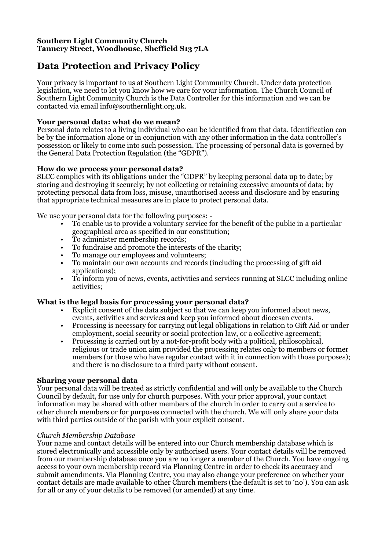# **Southern Light Community Church Tannery Street, Woodhouse, Sheffield S13 7LA**

# **Data Protection and Privacy Policy**

Your privacy is important to us at Southern Light Community Church. Under data protection legislation, we need to let you know how we care for your information. The Church Council of Southern Light Community Church is the Data Controller for this information and we can be contacted via email info@southernlight.org.uk.

# **Your personal data: what do we mean?**

Personal data relates to a living individual who can be identified from that data. Identification can be by the information alone or in conjunction with any other information in the data controller's possession or likely to come into such possession. The processing of personal data is governed by the General Data Protection Regulation (the "GDPR").

# **How do we process your personal data?**

SLCC complies with its obligations under the "GDPR" by keeping personal data up to date; by storing and destroying it securely; by not collecting or retaining excessive amounts of data; by protecting personal data from loss, misuse, unauthorised access and disclosure and by ensuring that appropriate technical measures are in place to protect personal data.

We use your personal data for the following purposes: -

- To enable us to provide a voluntary service for the benefit of the public in a particular geographical area as specified in our constitution;
- To administer membership records;
- To fundraise and promote the interests of the charity;
- To manage our employees and volunteers;
- To maintain our own accounts and records (including the processing of gift aid applications):
- To inform you of news, events, activities and services running at SLCC including online activities;

# **What is the legal basis for processing your personal data?**

- Explicit consent of the data subject so that we can keep you informed about news, events, activities and services and keep you informed about diocesan events.
- Processing is necessary for carrying out legal obligations in relation to Gift Aid or under employment, social security or social protection law, or a collective agreement;
- Processing is carried out by a not-for-profit body with a political, philosophical, religious or trade union aim provided the processing relates only to members or former members (or those who have regular contact with it in connection with those purposes); and there is no disclosure to a third party without consent.

# **Sharing your personal data**

Your personal data will be treated as strictly confidential and will only be available to the Church Council by default, for use only for church purposes. With your prior approval, your contact information may be shared with other members of the church in order to carry out a service to other church members or for purposes connected with the church. We will only share your data with third parties outside of the parish with your explicit consent.

# *Church Membership Database*

Your name and contact details will be entered into our Church membership database which is stored electronically and accessible only by authorised users. Your contact details will be removed from our membership database once you are no longer a member of the Church. You have ongoing access to your own membership record via Planning Centre in order to check its accuracy and submit amendments. Via Planning Centre, you may also change your preference on whether your contact details are made available to other Church members (the default is set to 'no'). You can ask for all or any of your details to be removed (or amended) at any time.